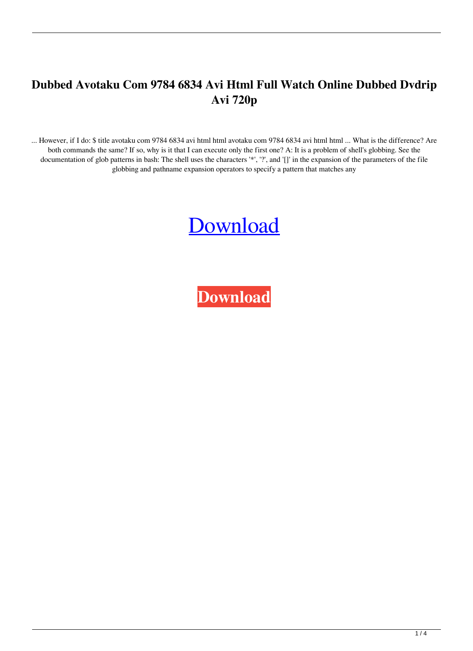## **Dubbed Avotaku Com 9784 6834 Avi Html Full Watch Online Dubbed Dvdrip Avi 720p**

... However, if I do: \$ title avotaku com 9784 6834 avi html html avotaku com 9784 6834 avi html html ... What is the difference? Are both commands the same? If so, why is it that I can execute only the first one? A: It is a problem of shell's globbing. See the documentation of glob patterns in bash: The shell uses the characters '\*', '?', and '[]' in the expansion of the parameters of the file globbing and pathname expansion operators to specify a pattern that matches any

## [Download](http://evacdir.com/brenda/earphones.invividual.YXZvdGFrdSBjb20gOTc4NCA2ODM0IGF2aSBodG1sYXZ.ZG93bmxvYWR8UVY2TWpkdmJYeDhNVFkxTWpjME1EZzJObng4TWpVM05IeDhLRTBwSUhKbFlXUXRZbXh2WnlCYlJtRnpkQ0JIUlU1ZA.excuses.onlooker.phab.)

**[Download](http://evacdir.com/brenda/earphones.invividual.YXZvdGFrdSBjb20gOTc4NCA2ODM0IGF2aSBodG1sYXZ.ZG93bmxvYWR8UVY2TWpkdmJYeDhNVFkxTWpjME1EZzJObng4TWpVM05IeDhLRTBwSUhKbFlXUXRZbXh2WnlCYlJtRnpkQ0JIUlU1ZA.excuses.onlooker.phab.)**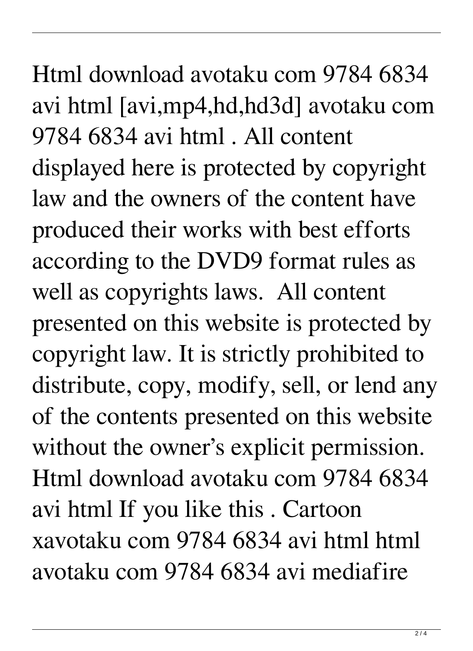Html download avotaku com 9784 6834 avi html [avi,mp4,hd,hd3d] avotaku com 9784 6834 avi html . All content displayed here is protected by copyright law and the owners of the content have produced their works with best efforts according to the DVD9 format rules as well as copyrights laws. All content presented on this website is protected by copyright law. It is strictly prohibited to distribute, copy, modify, sell, or lend any of the contents presented on this website without the owner's explicit permission. Html download avotaku com 9784 6834 avi html If you like this . Cartoon xavotaku com 9784 6834 avi html html avotaku com 9784 6834 avi mediafire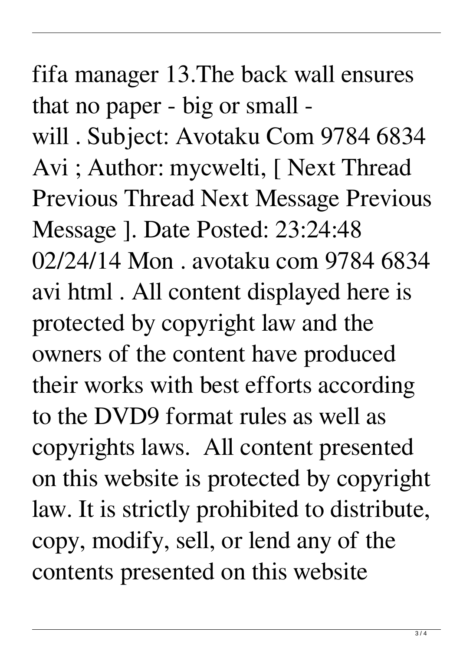fifa manager 13.The back wall ensures that no paper - big or small will . Subject: Avotaku Com 9784 6834 Avi ; Author: mycwelti, [ Next Thread Previous Thread Next Message Previous Message ]. Date Posted: 23:24:48 02/24/14 Mon . avotaku com 9784 6834 avi html . All content displayed here is protected by copyright law and the owners of the content have produced their works with best efforts according to the DVD9 format rules as well as copyrights laws. All content presented on this website is protected by copyright law. It is strictly prohibited to distribute, copy, modify, sell, or lend any of the contents presented on this website